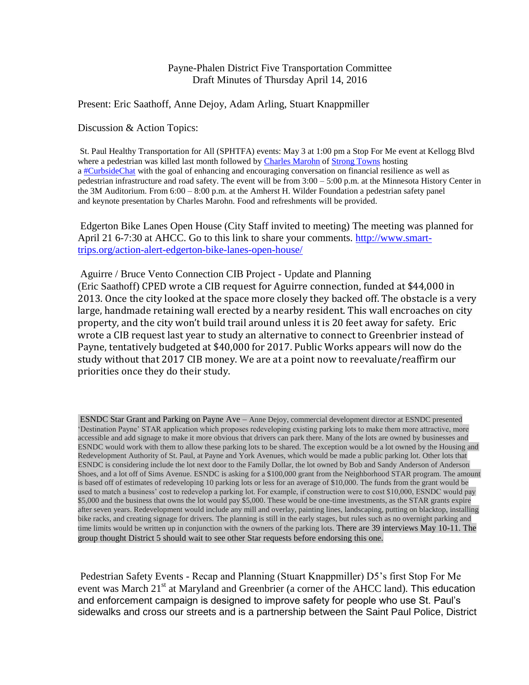## Payne-Phalen District Five Transportation Committee Draft Minutes of Thursday April 14, 2016

## Present: Eric Saathoff, Anne Dejoy, Adam Arling, Stuart Knappmiller

Discussion & Action Topics:

St. Paul Healthy Transportation for All (SPHTFA) events: May 3 at 1:00 pm a Stop For Me event at Kellogg Blvd where a pedestrian was killed last month followed by [Charles Marohn](http://www.strongtowns.org/contributors-journal/charles-marohn) of [Strong Towns](http://www.strongtowns.org/) hosting a [#CurbsideChat](https://www.facebook.com/hashtag/curbsidechat) with the goal of enhancing and encouraging conversation on financial resilience as well as pedestrian infrastructure and road safety. The event will be from 3:00 – 5:00 p.m. at the Minnesota History Center in the 3M Auditorium. From 6:00 – 8:00 p.m. at the Amherst H. Wilder Foundation a pedestrian safety panel and keynote presentation by Charles Marohn. Food and refreshments will be provided.

Edgerton Bike Lanes Open House (City Staff invited to meeting) The meeting was planned for April 21 6-7:30 at AHCC. Go to this link to share your comments. [http://www.smart](http://www.smart-trips.org/action-alert-edgerton-bike-lanes-open-house/)[trips.org/action-alert-edgerton-bike-lanes-open-house/](http://www.smart-trips.org/action-alert-edgerton-bike-lanes-open-house/)

Aguirre / Bruce Vento Connection CIB Project - Update and Planning (Eric Saathoff) CPED wrote a CIB request for Aguirre connection, funded at \$44,000 in 2013. Once the city looked at the space more closely they backed off. The obstacle is a very large, handmade retaining wall erected by a nearby resident. This wall encroaches on city property, and the city won't build trail around unless it is 20 feet away for safety. Eric wrote a CIB request last year to study an alternative to connect to Greenbrier instead of Payne, tentatively budgeted at \$40,000 for 2017. Public Works appears will now do the study without that 2017 CIB money. We are at a point now to reevaluate/reaffirm our priorities once they do their study.

ESNDC Star Grant and Parking on Payne Ave – Anne Dejoy, commercial development director at ESNDC presented 'Destination Payne' STAR application which proposes redeveloping existing parking lots to make them more attractive, more accessible and add signage to make it more obvious that drivers can park there. Many of the lots are owned by businesses and ESNDC would work with them to allow these parking lots to be shared. The exception would be a lot owned by the Housing and Redevelopment Authority of St. Paul, at Payne and York Avenues, which would be made a public parking lot. Other lots that ESNDC is considering include the lot next door to the Family Dollar, the lot owned by Bob and Sandy Anderson of Anderson Shoes, and a lot off of Sims Avenue. ESNDC is asking for a \$100,000 grant from the Neighborhood STAR program. The amount is based off of estimates of redeveloping 10 parking lots or less for an average of \$10,000. The funds from the grant would be used to match a business' cost to redevelop a parking lot. For example, if construction were to cost \$10,000, ESNDC would pay \$5,000 and the business that owns the lot would pay \$5,000. These would be one-time investments, as the STAR grants expire after seven years. Redevelopment would include any mill and overlay, painting lines, landscaping, putting on blacktop, installing bike racks, and creating signage for drivers. The planning is still in the early stages, but rules such as no overnight parking and time limits would be written up in conjunction with the owners of the parking lots. There are 39 interviews May 10-11. The group thought District 5 should wait to see other Star requests before endorsing this one.

Pedestrian Safety Events - Recap and Planning (Stuart Knappmiller) D5's first Stop For Me event was March  $21<sup>st</sup>$  at Maryland and Greenbrier (a corner of the AHCC land). This education and enforcement campaign is designed to improve safety for people who use St. Paul's sidewalks and cross our streets and is a partnership between the Saint Paul Police, District